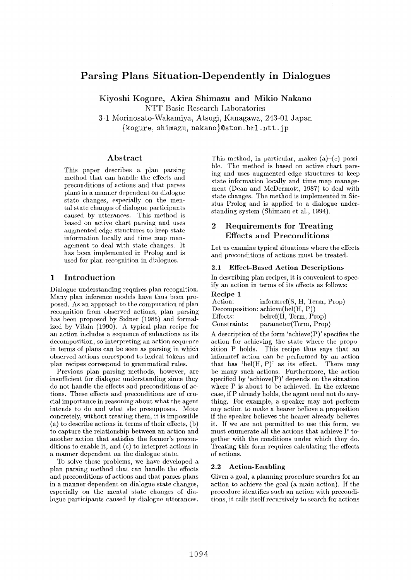# **Parsing Plans Situation-Dependently in Dialogues**

Kiyoshi Kogure, Akira Shimazu **and Mikio** Nakano NTT Basic Research Laboratories

3-1 Morinosato-Wakamiya, Atsugi, Kanagawa, 243-01. Japan {kogure, shimazu, nakano}@atom, brl. ntt. jp

# **Abstract**

This paper describes a plan parsing method that can handle the effects and preconditions of actions and that parses plans in a manner dependent on dialogue state changes, especially on the mental state changes of dialogue participants caused by utterances. This method is based on active chart parsing and uses augmented edge structures to keep state information locally and time map management to deal with state changes. It has been implemented in Prolog and is used for plan recognition in dialogues.

# **1 Introduction**

Dialogue understanding requires plan recognition. Many plan inference models have thus been proposed. As an approach to the computation of plan recognition from observed actions, plan parsing has been proposed by Sidner (1985) and formalized by Vilain (1990). A typical plan recipe for an action includes a sequence of subactions as its decomposition, so interpreting an action sequence in terms of plans can be seen as parsing in which observed actions correspond to lexical tokens and plan recipes correspond to grammatical rules.

Previous plan parsing methods, however, are insufficient for dialogue understanding since they do not handle the effects and preconditions of actions. These effects and preconditions are of crucial importance in reasoning about what the agent intends to do and what she presupposes. More concretely, without treating them, it is impossible (a) to describe actions in terms of their effects, (b) to capture the relationship between an action and another action that satisfies the former's preconditions to enable it, and (c) to interpret actions in a manner dependent on the dialogue state.

To solve these problems, we have developed a plan parsing method that can handle the effects and preconditions of actions and that parses plans in a manner dependent on dialogue state changes, especially on the mental state changes of dialogue participants caused by dialogue utterances. This method, in particular, makes  $(a)$ – $(c)$  possible. The method is based on active chart parsing and uses augmented edge structures to keep state information locally and time map management (Dean and McDermott, 1987) to deal with state changes. The method is implemented in Sicstus Prolog and is applied to a dialogue understanding system (Shimazu et al., 1994).

# 2 Requirements for Treating **Effects and Preconditions**

Let us examine typical situations where the effects and preconditions of actions must be treated.

### **2.1 Effect-Based Action Descriptions**

In describing plan recipes, it is convenient to specify an action in terms of its effects as follows: **Recipe** 1

| necipe 1             |                                                   |
|----------------------|---------------------------------------------------|
| Action:              | informref(S, H, Term, Prop)                       |
|                      | Decomposition: $\text{achieve}(\text{bel}(H, P))$ |
| Effects:             | belref(H, Term, Prop)                             |
| ${\rm Constraints:}$ | parameter(Term, Prop)                             |

A description of the form 'achieve $(P)$ ' specifies the action for achieving the state where the proposition P holds. This recipe thus says that an informref action can be performed by an action that has 'bel $(H, P)'$  as its effect. There may be many such actions. Furthermore, the action specified by 'achieve $(P)$ ' depends on the situation where P is about to be achieved. In the extreme case, ifP already holds, the agent need not do anything. For example, a speaker may not perform any action to make a hearer believe a proposition if the speaker believes the hearer already believes it. If we are not permitted to use this form, we must enumerate all the actions that achieve P together with the conditions under which they do. Treating this form requires calculating the effects of actions.

#### **2.2 Action-Enabling**

Given a goal, a planning procedure searches for an action to achieve the goal (a main action). If the procedure identifies such an action with preconditions, it calls itself recursively to search for actions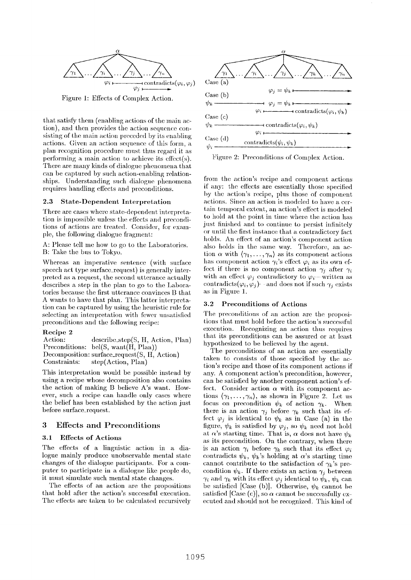

Figure 1: Effects of Complex Action.

that satisfy them (enabling actions of the main action), and then provides the action sequence consisting of the main action preceded by its enabling actions. Given an action sequence of this form, a plan recognition procedure must thus regard it as performing a main action to achieve its effect $(s)$ . There are many kinds of dialogue phenomena that can be captured by such action-enabling relationships. Understanding such dialogue phenomena requires handling effects and preconditions.

#### 2.3 State-Dependent Interpretation

There are cases where state-dependent interpretation is impossible unless the effects and preconditions of actions are treated. Consider, for example, the following dialogue fragment:

A: Please tell me how to go to the Laboratories. B: Take the bus to Tokyo.

Whereas an imperative sentence (with surface speech act type surface\_request) is generally interpreted as a request, the second utterance actually describes a step in the plan to go to the Laboratories because the first utterance convinces B that A wants to have that plan. This latter interpretation can be captured by using the heuristic rule for selecting an interpretation with fewer unsatisfied preconditions and the following recipe:

#### **Recipe 2**

Action: describe\_step(S, H, Action, Plan) Preconditions: bel(S, want(H, Plan)) Decomposition: surface\_request(S, H, Action) Constraints: step(Action, Plan)

This interpretation would be possible instead by using a recipe whose decomposition also contains the action of making B believe A's want. However, such a recipe can handle only cases where the belief has been established by the action just before surface\_request.

#### **3 Effects and Preconditions**

#### **3.1 Effects of Actions**

The effects of a linguistic action in a dialogue mainly produce unobservable mental state changes of the dialogue participants. For a computer to participate in a dialogue like people do, it must simulate such mental state changes.

The effects of an action are the propositions that hold after the action's successful execution. The effects are taken to be calculated recursively



Figure 2: Preconditions of Complex Action.

from the action's recipe and component actions if any: the effects are essentially those specified by the action's recipe, plus those of component actions. Since an action is modeled to have a certain temporal extent, an action's effect is modeled to hold at the point in time where the action has just finished and to continue to persist infinitely or until the first instance that a contradictory fact holds. An effect of an action's component action also holds in the same way. Therefore, an action  $\alpha$  with  $\langle \gamma_1,\ldots,\gamma_n \rangle$  as its component actions has component action  $\gamma_i$ 's effect  $\varphi_i$  as its own effect if there is no component action  $\gamma_i$  after  $\gamma_i$ with an effect  $\varphi_i$  contradictory to  $\varphi_i$  written as contradicts $(\varphi_i, \varphi_j)$ - and does not if such  $\gamma_i$  exists as in Figure 1.

#### **a.2 Preconditions of Actions**

The preconditions of an action are the propositions that must hold before the action's successful execution. Recognizing an action thus requires that its preconditions can be assured or at least hypothesized to be believed by the agent.

The preconditions of an action are essentially taken to consists of those specified by the action's recipe and those of its component actions if any. A component action's precondition, however, can be satisfied by another component action's effect. Consider action  $\alpha$  with its component actions  $(\gamma_1,\ldots,\gamma_n)$ , as shown in Figure 2. Let us focus on precondition  $\psi_k$  of action  $\gamma_k$ . When there is an action  $\gamma_i$  before  $\gamma_k$  such that its effect  $\varphi_j$  is identical to  $\psi_k$  as in Case (a) in the figure,  $\psi_k$  is satisfied by  $\varphi_j$ , so  $\psi_k$  need not hold at  $\alpha$ 's starting time. That is,  $\alpha$  does not have  $\psi_k$ as its precondition. On the contrary, when there is an action  $\gamma_i$  before  $\gamma_k$  such that its effect  $\varphi_i$ contradicts  $\psi_k$ ,  $\psi_k$ 's holding at  $\alpha$ 's starting time cannot contribute to the satisfaction of  $\gamma_k$ 's precondition  $\psi_k$ . If there exists an action  $\gamma_j$  between  $\gamma_i$  and  $\gamma_k$  with its effect  $\varphi_i$  identical to  $\psi_k, \psi_k$  can be satisfied [Case (b)]. Otherwise,  $\psi_k$  cannot be satisfied [Case (c)], so  $\alpha$  cannot be successfully executed and should not be recognized. This kind of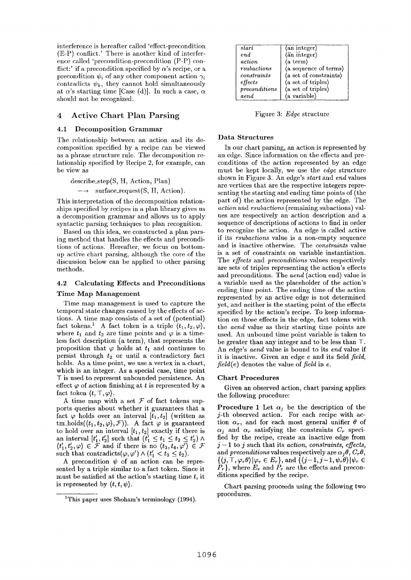interference is hereafter called 'effect-precondition (E-P) conflict.' There is another kind of interference called 'precondition-precondition (P-P) conflict:' if a precondition specified by  $\alpha$ 's recipe, or a precondition  $\psi_i$  of any other component action  $\gamma_i$ contradicts  $\psi_k$ , they cannot hold simultaneously at  $\alpha$ 's starting time [Case (d)]. In such a case,  $\alpha$ should not be recognized.

## 4 Active Chart Plan Parsing

#### 4.1 Decomposition Grammar

The relationship between an action and its decomposition specified by a recipe can be viewed as a phrase structure rule. The decomposition relationship specified by Recipe 2, for example, can be view as

$$
describe\_step(S, H, Action, Plan)
$$
  

$$
\longrightarrow surface\_request(S, H, Action).
$$

This interpretation of the decomposition relationships specified by recipes in a plan library gives us a decomposition grammar and allows us to apply syntactic parsing techniques to plan recognition.

Based on this idea, we constructed a plan parsing method that handles the effects and precondi= tions of actions. Hereafter, we focus on bottomup active chart parsing, although the core of the discussion below can be applied to other parsing methods.

# 4.2 Calculating Effects and Preconditions Time Map Management

Time map management is used to capture the temporal state changes caused by the effects of actions. A time map consists of a set of (potential) fact tokens.<sup>1</sup> A fact token is a triple  $\langle t_1, t_2, \varphi \rangle$ , where  $t_1$  and  $t_2$  are time points and  $\varphi$  is a timeless fact description (a term), that represents the proposition that  $\varphi$  holds at  $t_1$  and continues to persist through  $t_2$  or until a contradictory fact holds. As a time point, we use a vertex in a chart, which is an integer. As a special case, time point T is used to represent unbounded persistence. An effect  $\varphi$  of action finishing at t is represented by a fact token  $\langle t, \top, \varphi \rangle$ .

A time map with a set  $\mathcal F$  of fact tokens supports queries about whether it guarantees that a fact  $\varphi$  holds over an interval  $[t_1, t_2]$  (written as tm\_holds( $(t_1, t_2, \varphi), \mathcal{F}$ ). A fact  $\varphi$  is guaranteed to hold over an interval  $[t_1, t_2]$  exactly if there is an interval  $[t'_1, t'_2]$  such that  $(t'_1 \leq t_1 \leq t_2 \leq t'_2)$   $\wedge$  $(t'_1,t'_2,\varphi) \in \mathcal{F}$  and if there is no  $(t_3,t_4,\varphi') \in \mathcal{F}$ such that contradicts $(\varphi,\varphi') \wedge (t'_1 < t_3 \leq t_2).$ 

A precondition  $\psi$  of an action can be represented by a triple similar to a fact token. Since it must be satisfied at the action's starting time  $t$ , it is represented by  $\langle t, t, \psi \rangle$ .

| start                   | $\langle$ an integer $\rangle$             |
|-------------------------|--------------------------------------------|
| end                     | (an integer)                               |
| action                  | $\langle$ a term $\rangle$                 |
| r <sub>subactions</sub> | (a sequence of terms)                      |
| constants               | (a set of constraints)                     |
| $_{effects}$            | (a set of triples)                         |
| preconditions           | $\langle a \text{ set of triples} \rangle$ |
| aend                    | (a variable)                               |

Figure 3: *Edge* structure

### **Data** Structures

In our chart parsing, an action is represented by an edge. Since information on the effects and preconditions of the action represented by an edge must be kept locally, we use the *edge* structure shown in Figure 3. An edge's *start* and *end* values are vertices that are the respective integers representing the starting and ending time points of (the part of) the action represented by the edge. The *action* and *rsubactions* (remaining subactions) values are respectively an action description and a sequence of descriptions of actions to find in order to recognize the action. An edge is called active if its *rsubactions* value is a non-empty sequence and is inactive otherwise. The *constraints* value is a set of constraints on variable instantiation. The *effects* and *preconditions* values respectively are sets of triples representing the action's effects and preconditions. The *aend* (action end) value is a variable used as the placeholder of the action's ending time point. The ending time of the action represented by an active edge is not determined yet, and neither is the starting point of the effects specified by the action's recipe. To keep information on those effects in the edge, fact tokens with the *aend* value as their starting time points are used. An unbound time point variable is taken to be greater than any integer and to be less than T. An edge's *aend* value is bound to its *end* value if it is inactive. Given an edge e and its field *field, field(e)* denotes the value of *field* in e.

#### Chart Procedures

Given an observed action, chart parsing applies the following procedure:

**Procedure 1** Let  $\alpha_j$  be the description of the j-th observed action. For each recipe with action  $\alpha_r$ , and for each most general unifier  $\theta$  of  $\alpha_i$  and  $\alpha_r$  satisfying the constraints  $C_r$  specified by the recipe, create an inactive edge from  $j-1$  to  $j$  such that its *action, constraints, effects,* and *preconditions* values respectively are  $\alpha_i \theta$ ,  $C_r \theta$ ,  $\{\langle j,\top,\varphi_r\theta\rangle|\varphi_r\in E_r\},\text{ and } \{\langle j-1,j-1,\psi_r\theta\rangle|\psi_r\in \mathcal{F}\}$  $P_r$ }, where  $E_r$  and  $P_r$  are the effects and preconditions specified by the recipe.

Chart parsing proceeds using the following two procedures.

<sup>&</sup>lt;sup>1</sup>This paper uses Shoham's terminology (1994).